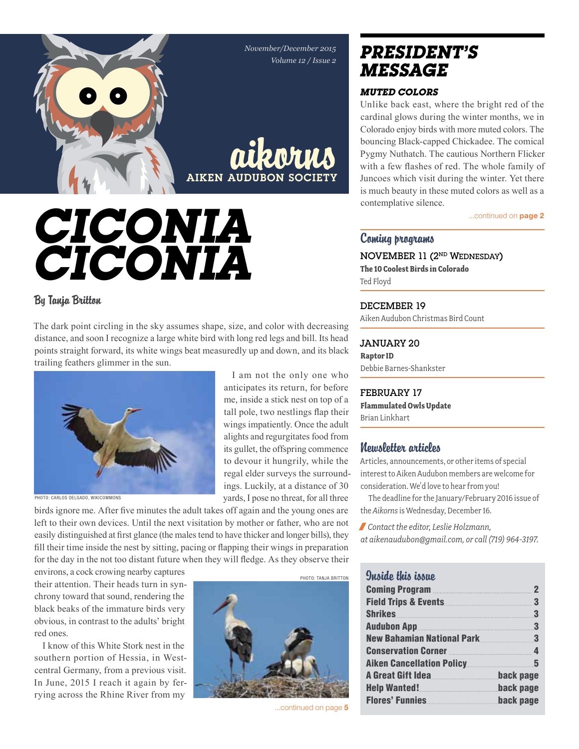*November/December 2015 Volume 12 / Issue 2*



aikorns AIKEN AUDUBON SOC

# *Ciconia ciconia*

### By Tanja Britton

The dark point circling in the sky assumes shape, size, and color with decreasing distance, and soon I recognize a large white bird with long red legs and bill. Its head points straight forward, its white wings beat measuredly up and down, and its black trailing feathers glimmer in the sun.



Photo: carlos delgado, wikicommons

I am not the only one who anticipates its return, for before me, inside a stick nest on top of a tall pole, two nestlings flap their wings impatiently. Once the adult alights and regurgitates food from its gullet, the offspring commence to devour it hungrily, while the regal elder surveys the surroundings. Luckily, at a distance of 30 yards, I pose no threat, for all three

birds ignore me. After five minutes the adult takes off again and the young ones are left to their own devices. Until the next visitation by mother or father, who are not easily distinguished at first glance (the males tend to have thicker and longer bills), they fill their time inside the nest by sitting, pacing or flapping their wings in preparation for the day in the not too distant future when they will fledge. As they observe their

environs, a cock crowing nearby captures their attention. Their heads turn in synchrony toward that sound, rendering the black beaks of the immature birds very obvious, in contrast to the adults' bright red ones.

I know of this White Stork nest in the southern portion of Hessia, in Westcentral Germany, from a previous visit. In June, 2015 I reach it again by ferrying across the Rhine River from my



...continued on page 5

## *president's message*

### *Muted Colors*

Unlike back east, where the bright red of the cardinal glows during the winter months, we in Colorado enjoy birds with more muted colors. The bouncing Black-capped Chickadee. The comical Pygmy Nuthatch. The cautious Northern Flicker with a few flashes of red. The whole family of Juncoes which visit during the winter. Yet there is much beauty in these muted colors as well as a contemplative silence.

...continued on **page 2** 

### Coming programs

NOVEMBER 11 (2nd Wednesday) **The 10 Coolest Birds in Colorado** Ted Floyd

### DECEMBER 19

Aiken Audubon Christmas Bird Count

### January 20

**Raptor ID** Debbie Barnes-Shankster

### February 17

**Flammulated Owls Update** Brian Linkhart

### Newsletter articles

Articles, announcements, or other items of special interest to Aiken Audubon members are welcome for consideration. We'd love to hear from you!

The deadline for the January/February 2016 issue of the *Aikorns* is Wednesday, December 16.

/ *Contact the editor, Leslie Holzmann, at aikenaudubon@gmail.com, or call (719) 964-3197.*

| <b>Inside this issue</b>                               |                         |
|--------------------------------------------------------|-------------------------|
| <b>Coming Program</b>                                  | $\mathbf 2$             |
| <b>Field Trips &amp; Events.</b>                       | $\overline{\mathbf{3}}$ |
| <b>Shrikes</b>                                         | $\mathbf{3}$            |
| <b>Audubon App.</b>                                    | $\mathbf{3}$            |
| <b>New Bahamian National Park</b> 3                    |                         |
|                                                        |                         |
| <b>Aiken Cancellation Policy</b>                       | 5                       |
| A Great Gift Idea                                      | back page               |
| Help Wanted! <b>Manual Provides Accident</b> Dack page |                         |
| <b>Flores' Funnies</b>                                 | back page               |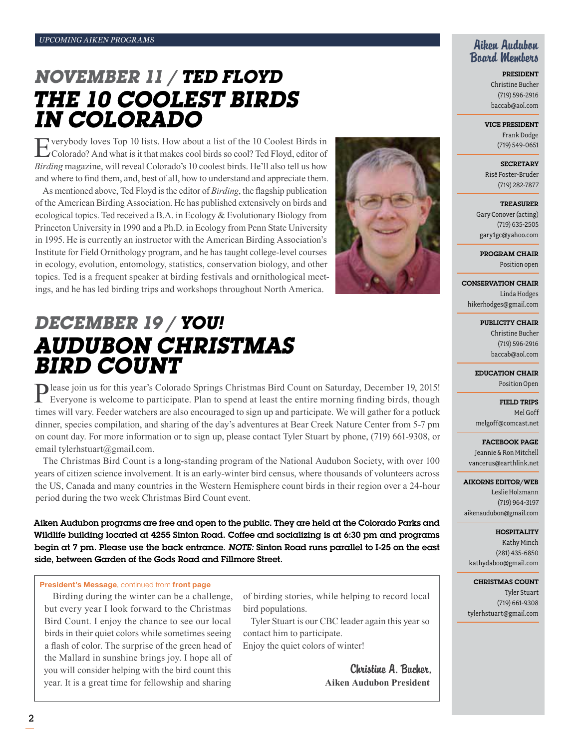## *november 11 / Ted Floyd The 10 coolest birds in Colorado*

Everybody loves Top 10 lists. How about a list of the 10 Coolest Birds in Coolerado? And what is it that makes cool birds so cool? Ted Floyd, editor of *Birding* magazine, will reveal Colorado's 10 coolest birds. He'll also tell us how and where to find them, and, best of all, how to understand and appreciate them.

As mentioned above, Ted Floyd is the editor of *Birding*, the flagship publication of the American Birding Association. He has published extensively on birds and ecological topics. Ted received a B.A. in Ecology & Evolutionary Biology from Princeton University in 1990 and a Ph.D. in Ecology from Penn State University in 1995. He is currently an instructor with the American Birding Association's Institute for Field Ornithology program, and he has taught college-level courses in ecology, evolution, entomology, statistics, conservation biology, and other topics. Ted is a frequent speaker at birding festivals and ornithological meetings, and he has led birding trips and workshops throughout North America.



## *december 19 / YOU! Audubon Christmas bird count*

Please join us for this year's Colorado Springs Christmas Bird Count on Saturday, December 19, 2015!<br>Everyone is welcome to participate. Plan to spend at least the entire morning finding birds, though times will vary. Feeder watchers are also encouraged to sign up and participate. We will gather for a potluck dinner, species compilation, and sharing of the day's adventures at Bear Creek Nature Center from 5-7 pm on count day. For more information or to sign up, please contact Tyler Stuart by phone, (719) 661-9308, or email tylerhstuart@gmail.com.

The Christmas Bird Count is a long-standing program of the National Audubon Society, with over 100 years of citizen science involvement. It is an early-winter bird census, where thousands of volunteers across the US, Canada and many countries in the Western Hemisphere count birds in their region over a 24-hour period during the two week Christmas Bird Count event.

Aiken Audubon programs are free and open to the public. They are held at the Colorado Parks and Wildlife building located at 4255 Sinton Road. Coffee and socializing is at 6:30 pm and programs begin at 7 pm. Please use the back entrance. *Note:* Sinton Road runs parallel to I-25 on the east side, between Garden of the Gods Road and Fillmore Street.

#### President's Message, continued from front page

Birding during the winter can be a challenge, but every year I look forward to the Christmas Bird Count. I enjoy the chance to see our local birds in their quiet colors while sometimes seeing a flash of color. The surprise of the green head of the Mallard in sunshine brings joy. I hope all of you will consider helping with the bird count this year. It is a great time for fellowship and sharing

of birding stories, while helping to record local bird populations.

Tyler Stuart is our CBC leader again this year so contact him to participate.

Enjoy the quiet colors of winter!

Christine A. Bucher, **Aiken Audubon President**

### Aiken Audubon Board Members

President Christine Bucher (719) 596-2916 baccab@aol.com

Vice President

Frank Dodge (719) 549-0651

**SECRETARY** Risë Foster-Bruder (719) 282-7877

**TREASURER** Gary Conover (acting) (719) 635-2505 gary1gc@yahoo.com

Program Chair Position open

Conservation Chair Linda Hodges hikerhodges@gmail.com

> Publicity Chair Christine Bucher (719) 596-2916 baccab@aol.com

Education Chair Position Open

Field Trips Mel Goff melgoff@comcast.net

facebook page Jeannie & Ron Mitchell vancerus@earthlink.net

#### Aikorns Editor/Web Leslie Holzmann (719) 964-3197 aikenaudubon@gmail.com

Hospitality Kathy Minch (281) 435-6850 kathydaboo@gmail.com

Christmas Count Tyler Stuart (719) 661-9308 tylerhstuart@gmail.com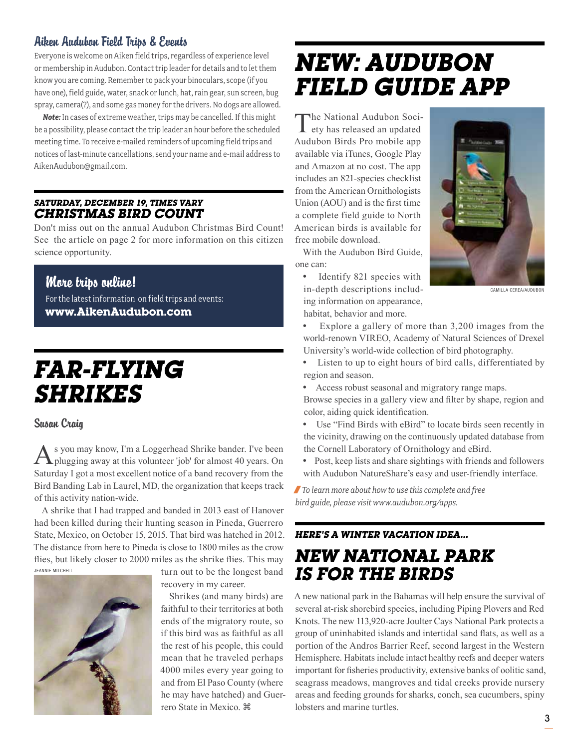### Aiken Audubon Field Trips & Events

Everyone is welcome on Aiken field trips, regardless of experience level or membership in Audubon. Contact trip leader for details and to let them know you are coming. Remember to pack your binoculars, scope (if you have one), field guide, water, snack or lunch, hat, rain gear, sun screen, bug spray, camera(?), and some gas money for the drivers. No dogs are allowed.

*Note:* In cases of extreme weather, trips may be cancelled. If this might be a possibility, please contact the trip leader an hour before the scheduled meeting time. To receive e-mailed reminders of upcoming field trips and notices of last-minute cancellations, send your name and e-mail address to AikenAudubon@gmail.com.

### *saturday, December 19, times vary christmas bird count*

Don't miss out on the annual Audubon Christmas Bird Count! See the article on page 2 for more information on this citizen science opportunity.

### More trips online!

For the latest information on field trips and events: **www.AikenAudubon.com**

## *Far-flying Shrikes*

### Susan Craig

As you may know, I'm a Loggerhead Shrike bander. I've been plugging away at this volunteer 'job' for almost 40 years. On Saturday I got a most excellent notice of a band recovery from the Bird Banding Lab in Laurel, MD, the organization that keeps track of this activity nation-wide.

A shrike that I had trapped and banded in 2013 east of Hanover had been killed during their hunting season in Pineda, Guerrero State, Mexico, on October 15, 2015. That bird was hatched in 2012. The distance from here to Pineda is close to 1800 miles as the crow flies, but likely closer to 2000 miles as the shrike flies. This may turn out to be the longest band Jeannie Mitchell



recovery in my career.

Shrikes (and many birds) are faithful to their territories at both ends of the migratory route, so if this bird was as faithful as all the rest of his people, this could mean that he traveled perhaps 4000 miles every year going to and from El Paso County (where he may have hatched) and Guerrero State in Mexico.

## *new: Audubon Field Guide App*

The National Audubon Society has released an updated Audubon Birds Pro mobile app available via iTunes, Google Play and Amazon at no cost. The app includes an 821-species checklist from the American Ornithologists Union (AOU) and is the first time a complete field guide to North American birds is available for free mobile download.

With the Audubon Bird Guide, one can:

• Identify 821 species with in-depth descriptions including information on appearance, habitat, behavior and more.



CAMILLA CEREA/AUDUBON

 Explore a gallery of more than 3,200 images from the world-renown VIREO, Academy of Natural Sciences of Drexel University's world-wide collection of bird photography.

- Listen to up to eight hours of bird calls, differentiated by region and season.
- Access robust seasonal and migratory range maps.
- Browse species in a gallery view and filter by shape, region and color, aiding quick identification.
- Use "Find Birds with eBird" to locate birds seen recently in the vicinity, drawing on the continuously updated database from the Cornell Laboratory of Ornithology and eBird.
- Post, keep lists and share sightings with friends and followers with Audubon NatureShare's easy and user-friendly interface.

/*To learn more about how to use this complete and free bird guide, please visit www.audubon.org/apps.*

### *Here's a winter vacation idea...*

### *New National Park is for the Birds*

A new national park in the Bahamas will help ensure the survival of several at-risk shorebird species, including Piping Plovers and Red Knots. The new 113,920-acre Joulter Cays National Park protects a group of uninhabited islands and intertidal sand flats, as well as a portion of the Andros Barrier Reef, second largest in the Western Hemisphere. Habitats include intact healthy reefs and deeper waters important for fisheries productivity, extensive banks of oolitic sand, seagrass meadows, mangroves and tidal creeks provide nursery areas and feeding grounds for sharks, conch, sea cucumbers, spiny lobsters and marine turtles.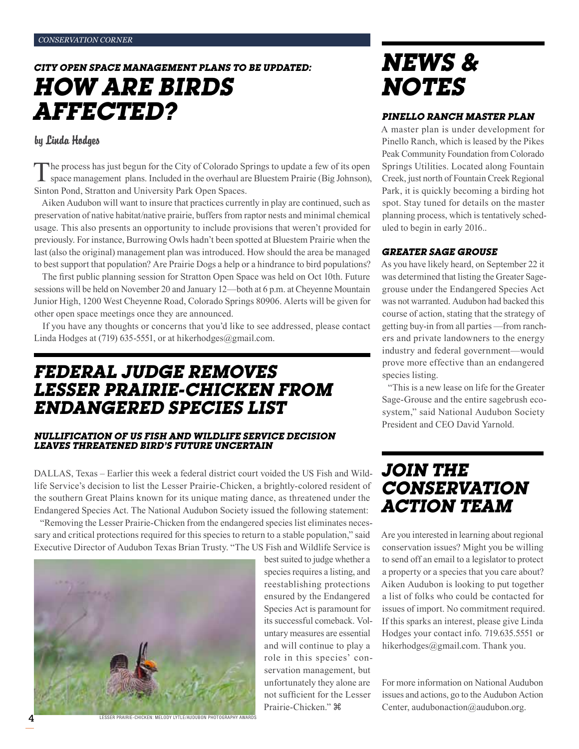## *city open space management plans to be updated: How are Birds Affected?*

### by Linda Hodges

The process has just begun for the City of Colorado Springs to update a few of its open space management plans. Included in the overhaul are Bluestem Prairie (Big Johnson), Sinton Pond, Stratton and University Park Open Spaces.

Aiken Audubon will want to insure that practices currently in play are continued, such as preservation of native habitat/native prairie, buffers from raptor nests and minimal chemical usage. This also presents an opportunity to include provisions that weren't provided for previously. For instance, Burrowing Owls hadn't been spotted at Bluestem Prairie when the last (also the original) management plan was introduced. How should the area be managed to best support that population? Are Prairie Dogs a help or a hindrance to bird populations?

The first public planning session for Stratton Open Space was held on Oct 10th. Future sessions will be held on November 20 and January 12—both at 6 p.m. at Cheyenne Mountain Junior High, 1200 West Cheyenne Road, Colorado Springs 80906. Alerts will be given for other open space meetings once they are announced.

If you have any thoughts or concerns that you'd like to see addressed, please contact Linda Hodges at (719) 635-5551, or at hikerhodges@gmail.com.

### *Federal Judge Removes Lesser Prairie-Chicken from Endangered Species List*

### *Nullification of US Fish and Wildlife Service Decision Leaves Threatened Bird's Future Uncertain*

DALLAS, Texas – Earlier this week a federal district court voided the US Fish and Wildlife Service's decision to list the Lesser Prairie-Chicken, a brightly-colored resident of the southern Great Plains known for its unique mating dance, as threatened under the Endangered Species Act. The National Audubon Society issued the following statement:

"Removing the Lesser Prairie-Chicken from the endangered species list eliminates necessary and critical protections required for this species to return to a stable population," said Executive Director of Audubon Texas Brian Trusty. "The US Fish and Wildlife Service is

> best suited to judge whether a species requires a listing, and reestablishing protections ensured by the Endangered Species Act is paramount for its successful comeback. Voluntary measures are essential and will continue to play a role in this species' conservation management, but unfortunately they alone are not sufficient for the Lesser

Prairie-Chicken."



LESSER PRAIRIE-CHICKEN: MELODY LYTLE/AUDUBON PHOTOGRAPHY AWAR

*News & Notes*

### *Pinello Ranch Master Plan*

A master plan is under development for Pinello Ranch, which is leased by the Pikes Peak Community Foundation from Colorado Springs Utilities. Located along Fountain Creek, just north of Fountain Creek Regional Park, it is quickly becoming a birding hot spot. Stay tuned for details on the master planning process, which is tentatively scheduled to begin in early 2016..

### *Greater Sage Grouse*

As you have likely heard, on September 22 it was determined that listing the Greater Sagegrouse under the Endangered Species Act was not warranted. Audubon had backed this course of action, stating that the strategy of getting buy-in from all parties —from ranchers and private landowners to the energy industry and federal government—would prove more effective than an endangered species listing.

"This is a new lease on life for the Greater Sage-Grouse and the entire sagebrush ecosystem," said National Audubon Society President and CEO David Yarnold.

## *Join the Conservation Action Team*

Are you interested in learning about regional conservation issues? Might you be willing to send off an email to a legislator to protect a property or a species that you care about? Aiken Audubon is looking to put together a list of folks who could be contacted for issues of import. No commitment required. If this sparks an interest, please give Linda Hodges your contact info. 719.635.5551 or hikerhodges@gmail.com. Thank you.

For more information on National Audubon issues and actions, go to the Audubon Action Center, audubonaction@audubon.org.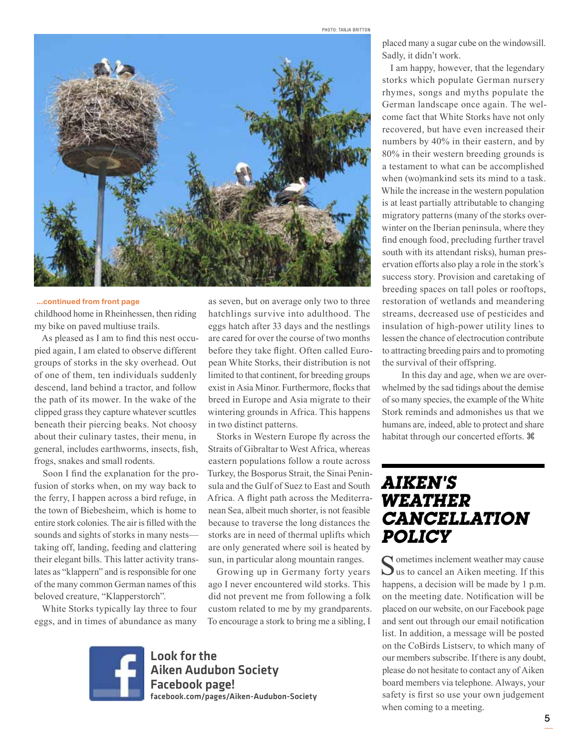

#### ...continued from front page

childhood home in Rheinhessen, then riding my bike on paved multiuse trails.

As pleased as I am to find this nest occupied again, I am elated to observe different groups of storks in the sky overhead. Out of one of them, ten individuals suddenly descend, land behind a tractor, and follow the path of its mower. In the wake of the clipped grass they capture whatever scuttles beneath their piercing beaks. Not choosy about their culinary tastes, their menu, in general, includes earthworms, insects, fish, frogs, snakes and small rodents.

Soon I find the explanation for the profusion of storks when, on my way back to the ferry, I happen across a bird refuge, in the town of Biebesheim, which is home to entire stork colonies. The air is filled with the sounds and sights of storks in many nests taking off, landing, feeding and clattering their elegant bills. This latter activity translates as "klappern" and is responsible for one of the many common German names of this beloved creature, "Klapperstorch".

White Storks typically lay three to four eggs, and in times of abundance as many

as seven, but on average only two to three hatchlings survive into adulthood. The eggs hatch after 33 days and the nestlings are cared for over the course of two months before they take flight. Often called European White Storks, their distribution is not limited to that continent, for breeding groups exist in Asia Minor. Furthermore, flocks that breed in Europe and Asia migrate to their wintering grounds in Africa. This happens in two distinct patterns.

Storks in Western Europe fly across the Straits of Gibraltar to West Africa, whereas eastern populations follow a route across Turkey, the Bosporus Strait, the Sinai Peninsula and the Gulf of Suez to East and South Africa. A flight path across the Mediterranean Sea, albeit much shorter, is not feasible because to traverse the long distances the storks are in need of thermal uplifts which are only generated where soil is heated by sun, in particular along mountain ranges.

Growing up in Germany forty years ago I never encountered wild storks. This did not prevent me from following a folk custom related to me by my grandparents. To encourage a stork to bring me a sibling, I



Look for the Aiken Audubon Society Facebook page! facebook.com/pages/Aiken-Audubon-Society placed many a sugar cube on the windowsill. Sadly, it didn't work.

I am happy, however, that the legendary storks which populate German nursery rhymes, songs and myths populate the German landscape once again. The welcome fact that White Storks have not only recovered, but have even increased their numbers by 40% in their eastern, and by 80% in their western breeding grounds is a testament to what can be accomplished when (wo)mankind sets its mind to a task. While the increase in the western population is at least partially attributable to changing migratory patterns (many of the storks overwinter on the Iberian peninsula, where they find enough food, precluding further travel south with its attendant risks), human preservation efforts also play a role in the stork's success story. Provision and caretaking of breeding spaces on tall poles or rooftops, restoration of wetlands and meandering streams, decreased use of pesticides and insulation of high-power utility lines to lessen the chance of electrocution contribute to attracting breeding pairs and to promoting the survival of their offspring.

 In this day and age, when we are overwhelmed by the sad tidings about the demise of so many species, the example of the White Stork reminds and admonishes us that we humans are, indeed, able to protect and share habitat through our concerted efforts.

### *Aiken's Weather Cancellation Policy*

Sometimes inclement weather may cause<br>us to cancel an Aiken meeting. If this happens, a decision will be made by 1 p.m. on the meeting date. Notification will be placed on our website, on our Facebook page and sent out through our email notification list. In addition, a message will be posted on the CoBirds Listserv, to which many of our members subscribe. If there is any doubt, please do not hesitate to contact any of Aiken board members via telephone. Always, your safety is first so use your own judgement when coming to a meeting.